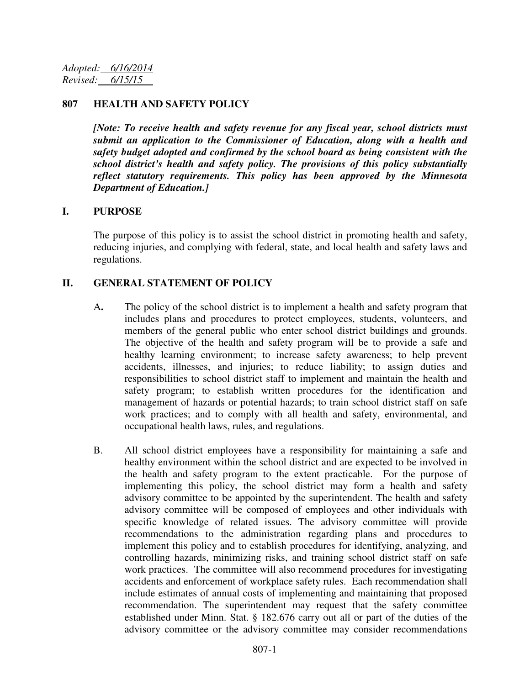*Adopted: 6/16/2014 Revised: 6/15/15* 

#### **807 HEALTH AND SAFETY POLICY**

*[Note: To receive health and safety revenue for any fiscal year, school districts must submit an application to the Commissioner of Education, along with a health and safety budget adopted and confirmed by the school board as being consistent with the school district's health and safety policy. The provisions of this policy substantially reflect statutory requirements. This policy has been approved by the Minnesota Department of Education.]*

#### **I. PURPOSE**

The purpose of this policy is to assist the school district in promoting health and safety, reducing injuries, and complying with federal, state, and local health and safety laws and regulations.

#### **II. GENERAL STATEMENT OF POLICY**

- A**.** The policy of the school district is to implement a health and safety program that includes plans and procedures to protect employees, students, volunteers, and members of the general public who enter school district buildings and grounds. The objective of the health and safety program will be to provide a safe and healthy learning environment; to increase safety awareness; to help prevent accidents, illnesses, and injuries; to reduce liability; to assign duties and responsibilities to school district staff to implement and maintain the health and safety program; to establish written procedures for the identification and management of hazards or potential hazards; to train school district staff on safe work practices; and to comply with all health and safety, environmental, and occupational health laws, rules, and regulations.
- B. All school district employees have a responsibility for maintaining a safe and healthy environment within the school district and are expected to be involved in the health and safety program to the extent practicable. For the purpose of implementing this policy, the school district may form a health and safety advisory committee to be appointed by the superintendent. The health and safety advisory committee will be composed of employees and other individuals with specific knowledge of related issues. The advisory committee will provide recommendations to the administration regarding plans and procedures to implement this policy and to establish procedures for identifying, analyzing, and controlling hazards, minimizing risks, and training school district staff on safe work practices. The committee will also recommend procedures for investigating accidents and enforcement of workplace safety rules. Each recommendation shall include estimates of annual costs of implementing and maintaining that proposed recommendation. The superintendent may request that the safety committee established under Minn. Stat. § 182.676 carry out all or part of the duties of the advisory committee or the advisory committee may consider recommendations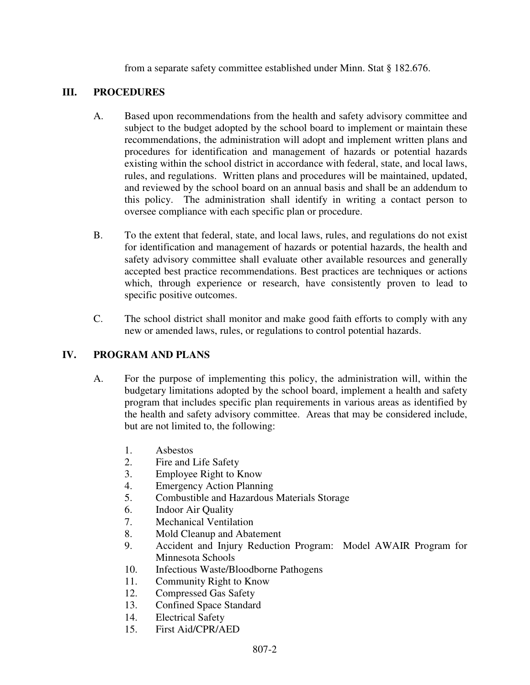from a separate safety committee established under Minn. Stat § 182.676.

## **III. PROCEDURES**

- A. Based upon recommendations from the health and safety advisory committee and subject to the budget adopted by the school board to implement or maintain these recommendations, the administration will adopt and implement written plans and procedures for identification and management of hazards or potential hazards existing within the school district in accordance with federal, state, and local laws, rules, and regulations. Written plans and procedures will be maintained, updated, and reviewed by the school board on an annual basis and shall be an addendum to this policy. The administration shall identify in writing a contact person to oversee compliance with each specific plan or procedure.
- B. To the extent that federal, state, and local laws, rules, and regulations do not exist for identification and management of hazards or potential hazards, the health and safety advisory committee shall evaluate other available resources and generally accepted best practice recommendations. Best practices are techniques or actions which, through experience or research, have consistently proven to lead to specific positive outcomes.
- C. The school district shall monitor and make good faith efforts to comply with any new or amended laws, rules, or regulations to control potential hazards.

# **IV. PROGRAM AND PLANS**

- A. For the purpose of implementing this policy, the administration will, within the budgetary limitations adopted by the school board, implement a health and safety program that includes specific plan requirements in various areas as identified by the health and safety advisory committee. Areas that may be considered include, but are not limited to, the following:
	- 1. Asbestos
	- 2. Fire and Life Safety
	- 3. Employee Right to Know
	- 4. Emergency Action Planning
	- 5. Combustible and Hazardous Materials Storage
	- 6. Indoor Air Quality
	- 7. Mechanical Ventilation
	- 8. Mold Cleanup and Abatement
	- 9. Accident and Injury Reduction Program: Model AWAIR Program for Minnesota Schools
	- 10. Infectious Waste/Bloodborne Pathogens
	- 11. Community Right to Know
	- 12. Compressed Gas Safety
	- 13. Confined Space Standard
	- 14. Electrical Safety
	- 15. First Aid/CPR/AED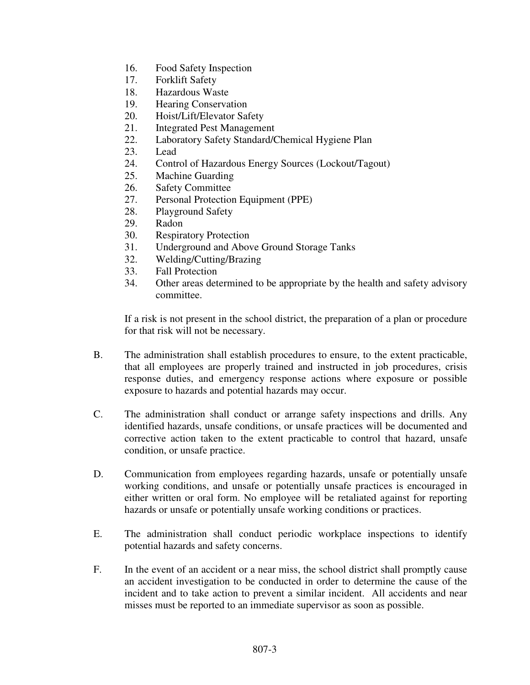- 16. Food Safety Inspection
- 17. Forklift Safety
- 18. Hazardous Waste
- 19. Hearing Conservation
- 20. Hoist/Lift/Elevator Safety
- 21. Integrated Pest Management
- 22. Laboratory Safety Standard/Chemical Hygiene Plan
- 23. Lead
- 24. Control of Hazardous Energy Sources (Lockout/Tagout)
- 25. Machine Guarding
- 26. Safety Committee
- 27. Personal Protection Equipment (PPE)
- 28. Playground Safety
- 29. Radon
- 30. Respiratory Protection
- 31. Underground and Above Ground Storage Tanks
- 32. Welding/Cutting/Brazing
- 33. Fall Protection
- 34. Other areas determined to be appropriate by the health and safety advisory committee.

If a risk is not present in the school district, the preparation of a plan or procedure for that risk will not be necessary.

- B. The administration shall establish procedures to ensure, to the extent practicable, that all employees are properly trained and instructed in job procedures, crisis response duties, and emergency response actions where exposure or possible exposure to hazards and potential hazards may occur.
- C. The administration shall conduct or arrange safety inspections and drills. Any identified hazards, unsafe conditions, or unsafe practices will be documented and corrective action taken to the extent practicable to control that hazard, unsafe condition, or unsafe practice.
- D. Communication from employees regarding hazards, unsafe or potentially unsafe working conditions, and unsafe or potentially unsafe practices is encouraged in either written or oral form. No employee will be retaliated against for reporting hazards or unsafe or potentially unsafe working conditions or practices.
- E. The administration shall conduct periodic workplace inspections to identify potential hazards and safety concerns.
- F. In the event of an accident or a near miss, the school district shall promptly cause an accident investigation to be conducted in order to determine the cause of the incident and to take action to prevent a similar incident. All accidents and near misses must be reported to an immediate supervisor as soon as possible.